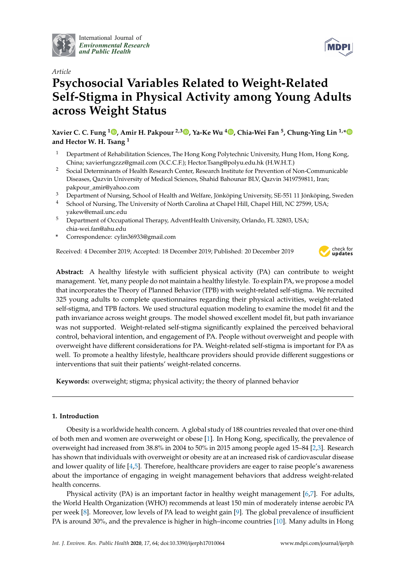

International Journal of *[Environmental Research](http://www.mdpi.com/journal/ijerph) and Public Health*



# *Article* **Psychosocial Variables Related to Weight-Related Self-Stigma in Physical Activity among Young Adults across Weight Status**

**Xavier C. C. Fung [1](https://orcid.org/0000-0002-0170-6203) , Amir H. Pakpour 2,3 [,](https://orcid.org/0000-0002-8798-5345) Ya-Ke Wu <sup>4</sup> [,](https://orcid.org/0000-0001-8990-3449) Chia-Wei Fan <sup>5</sup> , Chung-Ying Lin 1,[\\*](https://orcid.org/0000-0002-2129-4242) and Hector W. H. Tsang <sup>1</sup>**

- <sup>1</sup> Department of Rehabilitation Sciences, The Hong Kong Polytechnic University, Hung Hom, Hong Kong, China; xavierfungzzz@gmail.com (X.C.C.F.); Hector.Tsang@polyu.edu.hk (H.W.H.T.)
- <sup>2</sup> Social Determinants of Health Research Center, Research Institute for Prevention of Non-Communicable Diseases, Qazvin University of Medical Sciences, Shahid Bahounar BLV, Qazvin 3419759811, Iran; pakpour\_amir@yahoo.com
- <sup>3</sup> Department of Nursing, School of Health and Welfare, Jönköping University, SE-551 11 Jönköping, Sweden
- <sup>4</sup> School of Nursing, The University of North Carolina at Chapel Hill, Chapel Hill, NC 27599, USA; yakew@email.unc.edu
- <sup>5</sup> Department of Occupational Therapy, AdventHealth University, Orlando, FL 32803, USA; chia-wei.fan@ahu.edu
- **\*** Correspondence: cylin36933@gmail.com

Received: 4 December 2019; Accepted: 18 December 2019; Published: 20 December 2019



**Abstract:** A healthy lifestyle with sufficient physical activity (PA) can contribute to weight management. Yet, many people do not maintain a healthy lifestyle. To explain PA, we propose a model that incorporates the Theory of Planned Behavior (TPB) with weight-related self-stigma. We recruited 325 young adults to complete questionnaires regarding their physical activities, weight-related self-stigma, and TPB factors. We used structural equation modeling to examine the model fit and the path invariance across weight groups. The model showed excellent model fit, but path invariance was not supported. Weight-related self-stigma significantly explained the perceived behavioral control, behavioral intention, and engagement of PA. People without overweight and people with overweight have different considerations for PA. Weight-related self-stigma is important for PA as well. To promote a healthy lifestyle, healthcare providers should provide different suggestions or interventions that suit their patients' weight-related concerns.

**Keywords:** overweight; stigma; physical activity; the theory of planned behavior

# **1. Introduction**

Obesity is a worldwide health concern. A global study of 188 countries revealed that over one-third of both men and women are overweight or obese [\[1\]](#page-7-0). In Hong Kong, specifically, the prevalence of overweight had increased from 38.8% in 2004 to 50% in 2015 among people aged 15–84 [\[2](#page-7-1)[,3\]](#page-7-2). Research has shown that individuals with overweight or obesity are at an increased risk of cardiovascular disease and lower quality of life [\[4](#page-7-3)[,5\]](#page-7-4). Therefore, healthcare providers are eager to raise people's awareness about the importance of engaging in weight management behaviors that address weight-related health concerns.

Physical activity (PA) is an important factor in healthy weight management [\[6,](#page-8-0)[7\]](#page-8-1). For adults, the World Health Organization (WHO) recommends at least 150 min of moderately intense aerobic PA per week [\[8\]](#page-8-2). Moreover, low levels of PA lead to weight gain [\[9\]](#page-8-3). The global prevalence of insufficient PA is around 30%, and the prevalence is higher in high–income countries [\[10\]](#page-8-4). Many adults in Hong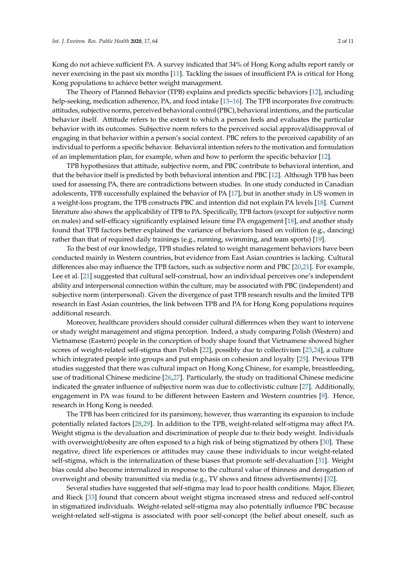Kong do not achieve sufficient PA. A survey indicated that 34% of Hong Kong adults report rarely or never exercising in the past six months [\[11\]](#page-8-5). Tackling the issues of insufficient PA is critical for Hong Kong populations to achieve better weight management.

The Theory of Planned Behavior (TPB) explains and predicts specific behaviors [\[12\]](#page-8-6), including help-seeking, medication adherence, PA, and food intake [\[13](#page-8-7)[–16\]](#page-8-8). The TPB incorporates five constructs: attitudes, subjective norms, perceived behavioral control (PBC), behavioral intentions, and the particular behavior itself. Attitude refers to the extent to which a person feels and evaluates the particular behavior with its outcomes. Subjective norm refers to the perceived social approval/disapproval of engaging in that behavior within a person's social context. PBC refers to the perceived capability of an individual to perform a specific behavior. Behavioral intention refers to the motivation and formulation of an implementation plan, for example, when and how to perform the specific behavior [\[12\]](#page-8-6).

TPB hypothesizes that attitude, subjective norm, and PBC contribute to behavioral intention, and that the behavior itself is predicted by both behavioral intention and PBC [\[12\]](#page-8-6). Although TPB has been used for assessing PA, there are contradictions between studies. In one study conducted in Canadian adolescents, TPB successfully explained the behavior of PA [\[17\]](#page-8-9), but in another study in US women in a weight-loss program, the TPB constructs PBC and intention did not explain PA levels [\[18\]](#page-8-10). Current literature also shows the applicability of TPB to PA. Specifically, TPB factors (except for subjective norm on males) and self-efficacy significantly explained leisure time PA engagement [\[18\]](#page-8-10), and another study found that TPB factors better explained the variance of behaviors based on volition (e.g., dancing) rather than that of required daily trainings (e.g., running, swimming, and team sports) [\[19\]](#page-8-11).

To the best of our knowledge, TPB studies related to weight management behaviors have been conducted mainly in Western countries, but evidence from East Asian countries is lacking. Cultural differences also may influence the TPB factors, such as subjective norm and PBC [\[20,](#page-8-12)[21\]](#page-8-13). For example, Lee et al. [\[21\]](#page-8-13) suggested that cultural self-construal, how an individual perceives one's independent ability and interpersonal connection within the culture, may be associated with PBC (independent) and subjective norm (interpersonal). Given the divergence of past TPB research results and the limited TPB research in East Asian countries, the link between TPB and PA for Hong Kong populations requires additional research.

Moreover, healthcare providers should consider cultural differences when they want to intervene or study weight management and stigma perception. Indeed, a study comparing Polish (Western) and Vietnamese (Eastern) people in the conception of body shape found that Vietnamese showed higher scores of weight-related self-stigma than Polish [\[22\]](#page-8-14), possibly due to collectivism [\[23,](#page-8-15)[24\]](#page-8-16), a culture which integrated people into groups and put emphasis on cohesion and loyalty [\[25\]](#page-8-17). Previous TPB studies suggested that there was cultural impact on Hong Kong Chinese, for example, breastfeeding, use of traditional Chinese medicine [\[26](#page-8-18)[,27\]](#page-9-0). Particularly, the study on traditional Chinese medicine indicated the greater influence of subjective norm was due to collectivistic culture [\[27\]](#page-9-0). Additionally, engagement in PA was found to be different between Eastern and Western countries [\[9\]](#page-8-3). Hence, research in Hong Kong is needed.

The TPB has been criticized for its parsimony, however, thus warranting its expansion to include potentially related factors [\[28,](#page-9-1)[29\]](#page-9-2). In addition to the TPB, weight-related self-stigma may affect PA. Weight stigma is the devaluation and discrimination of people due to their body weight. Individuals with overweight/obesity are often exposed to a high risk of being stigmatized by others [\[30\]](#page-9-3). These negative, direct life experiences or attitudes may cause these individuals to incur weight-related self-stigma, which is the internalization of these biases that promote self-devaluation [\[31\]](#page-9-4). Weight bias could also become internalized in response to the cultural value of thinness and derogation of overweight and obesity transmitted via media (e.g., TV shows and fitness advertisements) [\[32\]](#page-9-5).

Several studies have suggested that self-stigma may lead to poor health conditions. Major, Eliezer, and Rieck [\[33\]](#page-9-6) found that concern about weight stigma increased stress and reduced self-control in stigmatized individuals. Weight-related self-stigma may also potentially influence PBC because weight-related self-stigma is associated with poor self-concept (the belief about oneself, such as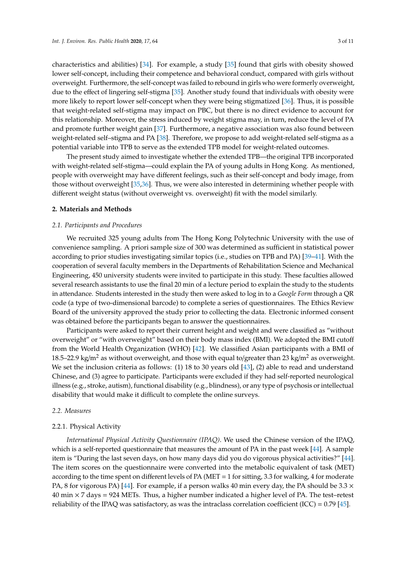characteristics and abilities) [\[34\]](#page-9-7). For example, a study [\[35\]](#page-9-8) found that girls with obesity showed lower self-concept, including their competence and behavioral conduct, compared with girls without overweight. Furthermore, the self-concept was failed to rebound in girls who were formerly overweight, due to the effect of lingering self-stigma [\[35\]](#page-9-8). Another study found that individuals with obesity were more likely to report lower self-concept when they were being stigmatized [\[36\]](#page-9-9). Thus, it is possible that weight-related self-stigma may impact on PBC, but there is no direct evidence to account for this relationship. Moreover, the stress induced by weight stigma may, in turn, reduce the level of PA and promote further weight gain [\[37\]](#page-9-10). Furthermore, a negative association was also found between weight-related self–stigma and PA [\[38\]](#page-9-11). Therefore, we propose to add weight-related self-stigma as a potential variable into TPB to serve as the extended TPB model for weight-related outcomes.

The present study aimed to investigate whether the extended TPB—the original TPB incorporated with weight-related self-stigma—could explain the PA of young adults in Hong Kong. As mentioned, people with overweight may have different feelings, such as their self-concept and body image, from those without overweight [\[35,](#page-9-8)[36\]](#page-9-9). Thus, we were also interested in determining whether people with different weight status (without overweight vs. overweight) fit with the model similarly.

#### **2. Materials and Methods**

#### *2.1. Participants and Procedures*

We recruited 325 young adults from The Hong Kong Polytechnic University with the use of convenience sampling. A priori sample size of 300 was determined as sufficient in statistical power according to prior studies investigating similar topics (i.e., studies on TPB and PA) [\[39–](#page-9-12)[41\]](#page-9-13). With the cooperation of several faculty members in the Departments of Rehabilitation Science and Mechanical Engineering, 450 university students were invited to participate in this study. These faculties allowed several research assistants to use the final 20 min of a lecture period to explain the study to the students in attendance. Students interested in the study then were asked to log in to a *Google Form* through a QR code (a type of two-dimensional barcode) to complete a series of questionnaires. The Ethics Review Board of the university approved the study prior to collecting the data. Electronic informed consent was obtained before the participants began to answer the questionnaires.

Participants were asked to report their current height and weight and were classified as "without overweight" or "with overweight" based on their body mass index (BMI). We adopted the BMI cutoff from the World Health Organization (WHO) [\[42\]](#page-9-14). We classified Asian participants with a BMI of 18.5–22.9 kg/m<sup>2</sup> as without overweight, and those with equal to/greater than 23 kg/m<sup>2</sup> as overweight. We set the inclusion criteria as follows: (1) 18 to 30 years old [\[43\]](#page-9-15), (2) able to read and understand Chinese, and (3) agree to participate. Participants were excluded if they had self-reported neurological illness (e.g., stroke, autism), functional disability (e.g., blindness), or any type of psychosis or intellectual disability that would make it difficult to complete the online surveys.

## *2.2. Measures*

### 2.2.1. Physical Activity

*International Physical Activity Questionnaire (IPAQ)*. We used the Chinese version of the IPAQ, which is a self-reported questionnaire that measures the amount of PA in the past week [\[44\]](#page-9-16). A sample item is "During the last seven days, on how many days did you do vigorous physical activities?" [\[44\]](#page-9-16). The item scores on the questionnaire were converted into the metabolic equivalent of task (MET) according to the time spent on different levels of PA (MET = 1 for sitting, 3.3 for walking, 4 for moderate PA, 8 for vigorous PA) [\[44\]](#page-9-16). For example, if a person walks 40 min every day, the PA should be  $3.3 \times$  $40 \text{ min} \times 7 \text{ days} = 924 \text{ METs}$ . Thus, a higher number indicated a higher level of PA. The test–retest reliability of the IPAQ was satisfactory, as was the intraclass correlation coefficient (ICC) = 0.79 [\[45\]](#page-9-17).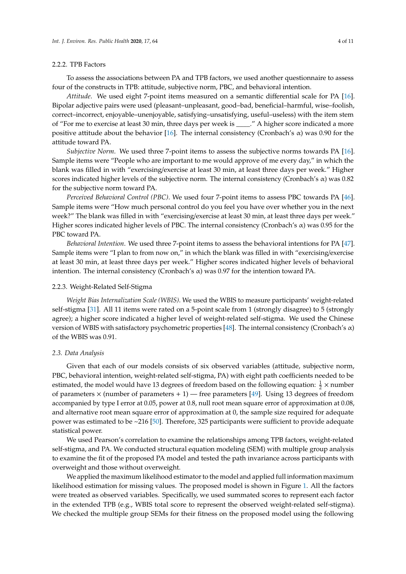### 2.2.2. TPB Factors

To assess the associations between PA and TPB factors, we used another questionnaire to assess four of the constructs in TPB: attitude, subjective norm, PBC, and behavioral intention.

*Attitude*. We used eight 7-point items measured on a semantic differential scale for PA [\[16\]](#page-8-8). Bipolar adjective pairs were used (pleasant–unpleasant, good–bad, beneficial–harmful, wise–foolish, correct–incorrect, enjoyable–unenjoyable, satisfying–unsatisfying, useful–useless) with the item stem of "For me to exercise at least 30 min, three days per week is \_\_\_\_." A higher score indicated a more positive attitude about the behavior [\[16\]](#page-8-8). The internal consistency (Cronbach's  $\alpha$ ) was 0.90 for the attitude toward PA.

*Subjective Norm*. We used three 7-point items to assess the subjective norms towards PA [\[16\]](#page-8-8). Sample items were "People who are important to me would approve of me every day," in which the blank was filled in with "exercising/exercise at least 30 min, at least three days per week." Higher scores indicated higher levels of the subjective norm. The internal consistency (Cronbach's  $\alpha$ ) was 0.82 for the subjective norm toward PA.

*Perceived Behavioral Control (PBC)*. We used four 7-point items to assess PBC towards PA [\[46\]](#page-9-18). Sample items were "How much personal control do you feel you have over whether you in the next week?" The blank was filled in with "exercising/exercise at least 30 min, at least three days per week." Higher scores indicated higher levels of PBC. The internal consistency (Cronbach's  $\alpha$ ) was 0.95 for the PBC toward PA.

*Behavioral Intention*. We used three 7-point items to assess the behavioral intentions for PA [\[47\]](#page-9-19). Sample items were "I plan to from now on," in which the blank was filled in with "exercising/exercise at least 30 min, at least three days per week." Higher scores indicated higher levels of behavioral intention. The internal consistency (Cronbach's  $\alpha$ ) was 0.97 for the intention toward PA.

## 2.2.3. Weight-Related Self-Stigma

*Weight Bias Internalization Scale (WBIS)*. We used the WBIS to measure participants' weight-related self-stigma [\[31\]](#page-9-4). All 11 items were rated on a 5-point scale from 1 (strongly disagree) to 5 (strongly agree); a higher score indicated a higher level of weight-related self-stigma. We used the Chinese version of WBIS with satisfactory psychometric properties [\[48\]](#page-9-20). The internal consistency (Cronbach's α) of the WBIS was 0.91.

## *2.3. Data Analysis*

Given that each of our models consists of six observed variables (attitude, subjective norm, PBC, behavioral intention, weight-related self-stigma, PA) with eight path coefficients needed to be estimated, the model would have 13 degrees of freedom based on the following equation:  $\frac{1}{2} \times$  number of parameters  $\times$  (number of parameters  $+1$ ) — free parameters [\[49\]](#page-10-0). Using 13 degrees of freedom accompanied by type I error at 0.05, power at 0.8, null root mean square error of approximation at 0.08, and alternative root mean square error of approximation at 0, the sample size required for adequate power was estimated to be ~216 [\[50\]](#page-10-1). Therefore, 325 participants were sufficient to provide adequate statistical power.

We used Pearson's correlation to examine the relationships among TPB factors, weight-related self-stigma, and PA. We conducted structural equation modeling (SEM) with multiple group analysis to examine the fit of the proposed PA model and tested the path invariance across participants with overweight and those without overweight.

We applied the maximum likelihood estimator to the model and applied full information maximum likelihood estimation for missing values. The proposed model is shown in Figure [1.](#page-4-0) All the factors were treated as observed variables. Specifically, we used summated scores to represent each factor in the extended TPB (e.g., WBIS total score to represent the observed weight-related self-stigma). We checked the multiple group SEMs for their fitness on the proposed model using the following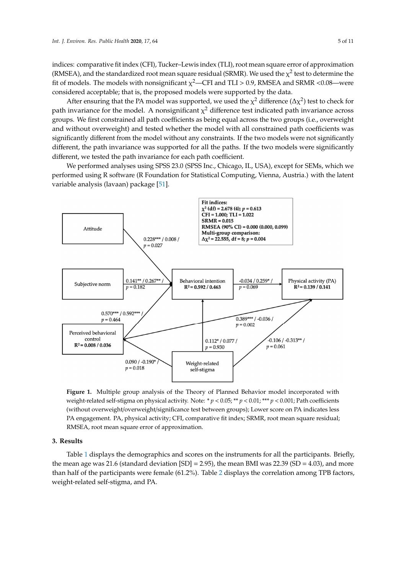indices: comparative fit index (CFI), Tucker–Lewis index (TLI), root mean square error of approximation (RMSEA), and the standardized root mean square residual (SRMR). We used the  $\chi^2$  test to determine the fit of models. The models with nonsignificant  $\chi^2$ —CFI and TLI > 0.9, RMSEA and SRMR <0.08—were considered acceptable; that is, the proposed models were supported by the data.

After ensuring that the PA model was supported, we used the  $\chi^2$  difference ( $\Delta \chi^2$ ) test to check for path invariance for the model. A nonsignificant  $\chi^2$  difference test indicated path invariance across frace of the first constrained all path coefficients as being equal across the two groups (i.e., overweight and without overweight) and tested whether the model with all constrained path coefficients was significantly different from the model without any constraints. If the two models were not significantly different, the path invariance was supported for all the paths. If the two models were significantly different, we tested the path invariance for each path coefficient.

We performed analyses using SPSS 23.0 (SPSS Inc., Chicago, IL, USA), except for SEMs, which we performed using R software (R Foundation for Statistical Computing, Vienna, Austria.) with the latent variable analysis (lavaan) package [\[51\]](#page-10-2).

<span id="page-4-0"></span>

Figure 1. *Multiple groups* of the Theory of Theory of Theory of Planned Behavior model incorporated without overweight/overweight/significance test between groups); Lower score on PA indicates less PA engagement. PA, physical activity; CFI, comparative fit index; SRMR, root mean square residual; reduced test between test between  $\frac{1}{2}$  indicates test between groups); Lower score of approximation. Paradis, pour mean square ence or up prosummers; **Figure 1.** Multiple group analysis of the Theory of Planned Behavior model incorporated with weight-related self-stigma on physical activity. Note: \*  $p < 0.05$ ; \*\*  $p < 0.01$ ; \*\*\*  $p < 0.001$ ; Path coefficients

# **3. Results**

**3. Results**  Table [1](#page-5-0) displays the demographics and scores on the instruments for all the participants. Briefly, than half of the participants were female (61.[2](#page-5-1)%). Table 2 displays the correlation among TPB factors, weight-related self-stigma, and PA. than half of the participants were female (61.2%). Table 2 displays the correlation among TPB factors, the mean age was 21.6 (standard deviation  $[SD] = 2.95$ ), the mean BMI was 22.39 (SD = 4.03), and more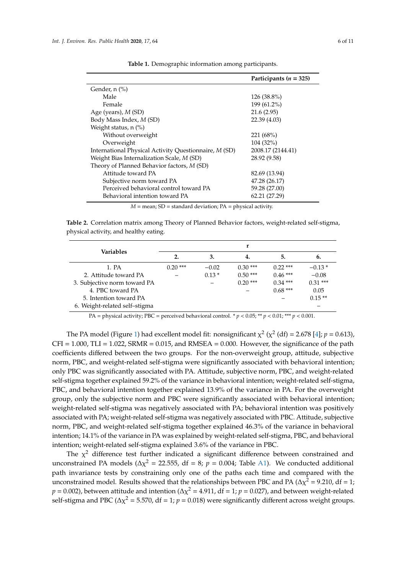<span id="page-5-0"></span>

|                                                       | Participants ( $n = 325$ ) |
|-------------------------------------------------------|----------------------------|
| Gender, $n$ $\left(\frac{9}{6}\right)$                |                            |
| Male                                                  | $126(38.8\%)$              |
| Female                                                | 199 (61.2%)                |
| Age (years), <i>M</i> (SD)                            | 21.6(2.95)                 |
| Body Mass Index, M (SD)                               | 22.39 (4.03)               |
| Weight status, $n$ $\left(\% \right)$                 |                            |
| Without overweight                                    | 221(68%)                   |
| Overweight                                            | 104(32%)                   |
| International Physical Activity Questionnaire, M (SD) | 2008.17 (2144.41)          |
| Weight Bias Internalization Scale, M (SD)             | 28.92 (9.58)               |
| Theory of Planned Behavior factors, M (SD)            |                            |
| Attitude toward PA                                    | 82.69 (13.94)              |
| Subjective norm toward PA                             | 47.28 (26.17)              |
| Perceived behavioral control toward PA                | 59.28 (27.00)              |
| Behavioral intention toward PA                        | 62.21 (27.29)              |

**Table 1.** Demographic information among participants.

<span id="page-5-1"></span>**Table 2.** Correlation matrix among Theory of Planned Behavior factors, weight-related self-stigma, physical activity, and healthy eating.

| <b>Variables</b>              | r         |         |            |           |           |
|-------------------------------|-----------|---------|------------|-----------|-----------|
|                               | 2.        | 3.      | 4.         | 5.        | 6.        |
| 1. PA                         | $0.20***$ | $-0.02$ | $0.30***$  | $0.22***$ | $-0.13*$  |
| 2. Attitude toward PA         |           | $0.13*$ | $0.50***$  | $0.46***$ | $-0.08$   |
| 3. Subjective norm toward PA  |           |         | $0.20$ *** | $0.34***$ | $0.31***$ |
| 4. PBC toward PA              |           |         |            | $0.68***$ | 0.05      |
| 5. Intention toward PA        |           |         |            |           | $0.15**$  |
| 6. Weight-related self-stigma |           |         |            |           |           |

PA = physical activity; PBC = perceived behavioral control.  $* p < 0.05$ ;  $** p < 0.01$ ;  $*** p < 0.001$ .

The PA model (Figure [1\)](#page-4-0) had excellent model fit: nonsignificant  $\chi^2$  ( $\chi^2$  (df) = 2.678 [\[4\]](#page-7-3);  $p$  = 0.613),  $CFI = 1.000$ ,  $TLI = 1.022$ ,  $SRMR = 0.015$ , and  $RMSEA = 0.000$ . However, the significance of the path coefficients differed between the two groups. For the non-overweight group, attitude, subjective norm, PBC, and weight-related self-stigma were significantly associated with behavioral intention; only PBC was significantly associated with PA. Attitude, subjective norm, PBC, and weight-related self-stigma together explained 59.2% of the variance in behavioral intention; weight-related self-stigma, PBC, and behavioral intention together explained 13.9% of the variance in PA. For the overweight group, only the subjective norm and PBC were significantly associated with behavioral intention; weight-related self-stigma was negatively associated with PA; behavioral intention was positively associated with PA; weight-related self-stigma was negatively associated with PBC. Attitude, subjective norm, PBC, and weight-related self-stigma together explained 46.3% of the variance in behavioral intention; 14.1% of the variance in PA was explained by weight-related self-stigma, PBC, and behavioral intention; weight-related self-stigma explained 3.6% of the variance in PBC.

The  $\chi^2$  difference test further indicated a significant difference between constrained and unconstrained PA models ( $\Delta \chi^2$  = 22.555, df = 8;  $p$  = 0.004; Table [A1\)](#page-7-5). We conducted additional path invariance tests by constraining only one of the paths each time and compared with the unconstrained model. Results showed that the relationships between PBC and PA ( $\Delta \chi^2$  = 9.210, df = 1;  $p = 0.002$ ), between attitude and intention ( $\Delta \chi^2 = 4.911$ , df = 1;  $p = 0.027$ ), and between weight-related self-stigma and PBC ( $\Delta \chi^2$  = 5.570, df = 1; *p* = 0.018) were significantly different across weight groups.

 $M =$  mean; SD = standard deviation; PA = physical activity.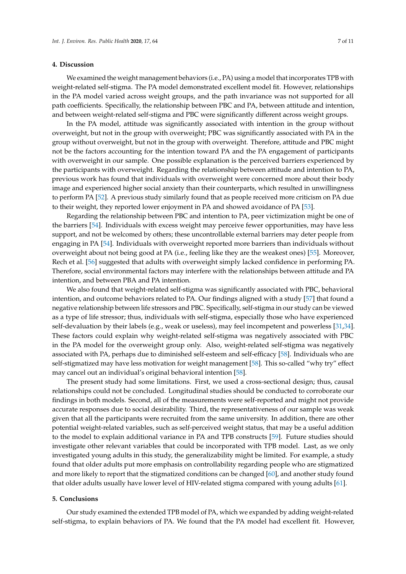## **4. Discussion**

We examined the weight management behaviors (i.e., PA) using a model that incorporates TPB with weight-related self-stigma. The PA model demonstrated excellent model fit. However, relationships in the PA model varied across weight groups, and the path invariance was not supported for all path coefficients. Specifically, the relationship between PBC and PA, between attitude and intention, and between weight-related self-stigma and PBC were significantly different across weight groups.

In the PA model, attitude was significantly associated with intention in the group without overweight, but not in the group with overweight; PBC was significantly associated with PA in the group without overweight, but not in the group with overweight. Therefore, attitude and PBC might not be the factors accounting for the intention toward PA and the PA engagement of participants with overweight in our sample. One possible explanation is the perceived barriers experienced by the participants with overweight. Regarding the relationship between attitude and intention to PA, previous work has found that individuals with overweight were concerned more about their body image and experienced higher social anxiety than their counterparts, which resulted in unwillingness to perform PA [\[52\]](#page-10-3). A previous study similarly found that as people received more criticism on PA due to their weight, they reported lower enjoyment in PA and showed avoidance of PA [\[53\]](#page-10-4).

Regarding the relationship between PBC and intention to PA, peer victimization might be one of the barriers [\[54\]](#page-10-5). Individuals with excess weight may perceive fewer opportunities, may have less support, and not be welcomed by others; these uncontrollable external barriers may deter people from engaging in PA [\[54\]](#page-10-5). Individuals with overweight reported more barriers than individuals without overweight about not being good at PA (i.e., feeling like they are the weakest ones) [\[55\]](#page-10-6). Moreover, Rech et al. [\[56\]](#page-10-7) suggested that adults with overweight simply lacked confidence in performing PA. Therefore, social environmental factors may interfere with the relationships between attitude and PA intention, and between PBA and PA intention.

We also found that weight-related self-stigma was significantly associated with PBC, behavioral intention, and outcome behaviors related to PA. Our findings aligned with a study [\[57\]](#page-10-8) that found a negative relationship between life stressors and PBC. Specifically, self-stigma in our study can be viewed as a type of life stressor; thus, individuals with self-stigma, especially those who have experienced self-devaluation by their labels (e.g., weak or useless), may feel incompetent and powerless [\[31,](#page-9-4)[34\]](#page-9-7). These factors could explain why weight-related self-stigma was negatively associated with PBC in the PA model for the overweight group only. Also, weight-related self-stigma was negatively associated with PA, perhaps due to diminished self-esteem and self-efficacy [\[58\]](#page-10-9). Individuals who are self-stigmatized may have less motivation for weight management [\[58\]](#page-10-9). This so-called "why try" effect may cancel out an individual's original behavioral intention [\[58\]](#page-10-9).

The present study had some limitations. First, we used a cross-sectional design; thus, causal relationships could not be concluded. Longitudinal studies should be conducted to corroborate our findings in both models. Second, all of the measurements were self-reported and might not provide accurate responses due to social desirability. Third, the representativeness of our sample was weak given that all the participants were recruited from the same university. In addition, there are other potential weight-related variables, such as self-perceived weight status, that may be a useful addition to the model to explain additional variance in PA and TPB constructs [\[59\]](#page-10-10). Future studies should investigate other relevant variables that could be incorporated with TPB model. Last, as we only investigated young adults in this study, the generalizability might be limited. For example, a study found that older adults put more emphasis on controllability regarding people who are stigmatized and more likely to report that the stigmatized conditions can be changed [\[60\]](#page-10-11), and another study found that older adults usually have lower level of HIV-related stigma compared with young adults [\[61\]](#page-10-12).

#### **5. Conclusions**

Our study examined the extended TPB model of PA, which we expanded by adding weight-related self-stigma, to explain behaviors of PA. We found that the PA model had excellent fit. However,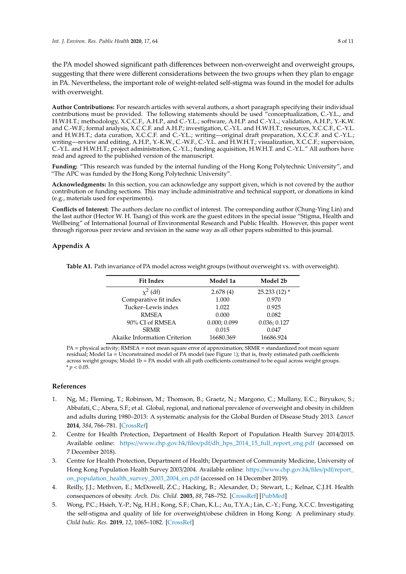the PA model showed significant path differences between non-overweight and overweight groups, suggesting that there were different considerations between the two groups when they plan to engage in PA. Nevertheless, the important role of weight-related self-stigma was found in the model for adults with overweight.

**Author Contributions:** For research articles with several authors, a short paragraph specifying their individual contributions must be provided. The following statements should be used "conceptualization, C.-Y.L., and H.W.H.T.; methodology, X.C.C.F., A.H.P., and C.-Y.L.; software, A.H.P. and C.-Y.L.; validation, A.H.P., Y.-K.W. and C.-W.F.; formal analysis, X.C.C.F. and A.H.P.; investigation, C.-Y.L. and H.W.H.T.; resources, X.C.C.F., C.-Y.L. and H.W.H.T.; data curation, X.C.C.F. and C.-Y.L.; writing—original draft preparation, X.C.C.F. and C.-Y.L.; writing—review and editing, A.H.P., Y.-K.W., C.-W.F., C.-Y.L. and H.W.H.T.; visualization, X.C.C.F.; supervision, C.-Y.L. and H.W.H.T.; project administration, C.-Y.L.; funding acquisition, H.W.H.T. and C.-Y.L." All authors have read and agreed to the published version of the manuscript.

**Funding:** "This research was funded by the internal funding of the Hong Kong Polytechnic University", and "The APC was funded by the Hong Kong Polytechnic University".

**Acknowledgments:** In this section, you can acknowledge any support given, which is not covered by the author contribution or funding sections. This may include administrative and technical support, or donations in kind (e.g., materials used for experiments).

**Conflicts of Interest:** The authors declare no conflict of interest. The corresponding author (Chung-Ying Lin) and the last author (Hector W. H. Tsang) of this work are the guest editors in the special issue "Stigma, Health and Wellbeing" of International Journal of Environmental Research and Public Health. However, this paper went through rigorous peer review and revision in the same way as all other papers submitted to this journal.

# **Appendix A**

<span id="page-7-5"></span>Table A1. Path invariance of PA model across weight groups (without overweight vs. with overweight).

| Fit Index                    | Model 1a     | Model 2b       |
|------------------------------|--------------|----------------|
| $\chi^2$ (df)                | 2.678(4)     | $25.233(12)$ * |
| Comparative fit index        | 1.000        | 0.970          |
| Tucker-Lewis index           | 1.022        | 0.925          |
| <b>RMSEA</b>                 | 0.000        | 0.082          |
| 90% CI of RMSEA              | 0.000; 0.099 | 0.036; 0.127   |
| <b>SRMR</b>                  | 0.015        | 0.047          |
| Akaike Information Criterion | 16680.369    | 16686.924      |

PA = physical activity; RMSEA = root mean square error of approximation; SRMR = standardized root mean square residual; Model 1a = Unconstrained model of PA model (see Figure [1\)](#page-4-0); that is, freely estimated path coefficients across weight groups; Model 1b = PA model with all path coefficients constrained to be equal across weight groups.  $* p < 0.05$ .

## **References**

- <span id="page-7-0"></span>1. Ng, M.; Fleming, T.; Robinson, M.; Thomson, B.; Graetz, N.; Margono, C.; Mullany, E.C.; Biryukov, S.; Abbafati, C.; Abera, S.F.; et al. Global, regional, and national prevalence of overweight and obesity in children and adults during 1980–2013: A systematic analysis for the Global Burden of Disease Study 2013. *Lancet* **2014**, *384*, 766–781. [\[CrossRef\]](http://dx.doi.org/10.1016/S0140-6736(14)60460-8)
- <span id="page-7-1"></span>2. Centre for Health Protection, Department of Health Report of Population Health Survey 2014/2015. Available online: https://www.chp.gov.hk/files/pdf/[dh\\_hps\\_2014\\_15\\_full\\_report\\_eng.pdf](https://www.chp.gov.hk/files/pdf/dh_hps_2014_15_full_report_eng.pdf) (accessed on 7 December 2018).
- <span id="page-7-2"></span>3. Centre for Health Protection, Department of Health; Department of Community Medicine, University of Hong Kong Population Health Survey 2003/2004. Available online: https://[www.chp.gov.hk](https://www.chp.gov.hk/files/pdf/report_on_population_health_survey_2003_2004_en.pdf)/files/pdf/report\_ [on\\_population\\_health\\_survey\\_2003\\_2004\\_en.pdf](https://www.chp.gov.hk/files/pdf/report_on_population_health_survey_2003_2004_en.pdf) (accessed on 14 December 2019).
- <span id="page-7-3"></span>4. Reilly, J.J.; Methven, E.; McDowell, Z.C.; Hacking, B.; Alexander, D.; Stewart, L.; Kelnar, C.J.H. Health consequences of obesity. *Arch. Dis. Child.* **2003**, *88*, 748–752. [\[CrossRef\]](http://dx.doi.org/10.1136/adc.88.9.748) [\[PubMed\]](http://www.ncbi.nlm.nih.gov/pubmed/12937090)
- <span id="page-7-4"></span>5. Wong, P.C.; Hsieh, Y.-P.; Ng, H.H.; Kong, S.F.; Chan, K.L.; Au, T.Y.A.; Lin, C.-Y.; Fung, X.C.C. Investigating the self-stigma and quality of life for overweight/obese children in Hong Kong: A preliminary study. *Child Indic. Res.* **2019**, *12*, 1065–1082. [\[CrossRef\]](http://dx.doi.org/10.1007/s12187-018-9573-0)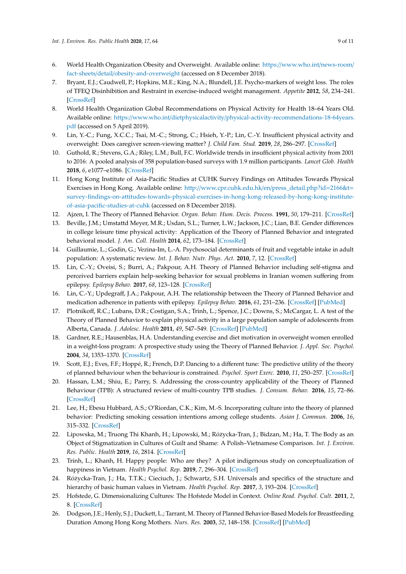- <span id="page-8-0"></span>6. World Health Organization Obesity and Overweight. Available online: https://[www.who.int](https://www.who.int/news-room/fact-sheets/detail/obesity-and-overweight)/news-room/ fact-sheets/detail/[obesity-and-overweight](https://www.who.int/news-room/fact-sheets/detail/obesity-and-overweight) (accessed on 8 December 2018).
- <span id="page-8-1"></span>7. Bryant, E.J.; Caudwell, P.; Hopkins, M.E.; King, N.A.; Blundell, J.E. Psycho-markers of weight loss. The roles of TFEQ Disinhibition and Restraint in exercise-induced weight management. *Appetite* **2012**, *58*, 234–241. [\[CrossRef\]](http://dx.doi.org/10.1016/j.appet.2011.09.006)
- <span id="page-8-2"></span>8. World Health Organization Global Recommendations on Physical Activity for Health 18–64 Years Old. Available online: https://www.who.int/dietphysicalactivity/[physical-activity-recommendations-18-64years.](https://www.who.int/dietphysicalactivity/physical-activity-recommendations-18-64years.pdf) [pdf](https://www.who.int/dietphysicalactivity/physical-activity-recommendations-18-64years.pdf) (accessed on 5 April 2019).
- <span id="page-8-3"></span>9. Lin, Y.-C.; Fung, X.C.C.; Tsai, M.-C.; Strong, C.; Hsieh, Y.-P.; Lin, C.-Y. Insufficient physical activity and overweight: Does caregiver screen-viewing matter? *J. Child Fam. Stud.* **2019**, *28*, 286–297. [\[CrossRef\]](http://dx.doi.org/10.1007/s10826-018-1247-5)
- <span id="page-8-4"></span>10. Guthold, R.; Stevens, G.A.; Riley, L.M.; Bull, F.C. Worldwide trends in insufficient physical activity from 2001 to 2016: A pooled analysis of 358 population-based surveys with 1.9 million participants. *Lancet Glob. Health* **2018**, *6*, e1077–e1086. [\[CrossRef\]](http://dx.doi.org/10.1016/S2214-109X(18)30357-7)
- <span id="page-8-5"></span>11. Hong Kong Institute of Asia-Pacific Studies at CUHK Survey Findings on Attitudes Towards Physical Exercises in Hong Kong. Available online: http://[www.cpr.cuhk.edu.hk](http://www.cpr.cuhk.edu.hk/en/press_detail.php?id=2166&t=survey-findings-on-attitudes-towards-physical-exercises-in-hong-kong-released-by-hong-kong-institute-of-asia-pacific-studies-at-cuhk)/en/press\_detail.php?id=2166&t= [survey-findings-on-attitudes-towards-physical-exercises-in-hong-kong-released-by-hong-kong-institute](http://www.cpr.cuhk.edu.hk/en/press_detail.php?id=2166&t=survey-findings-on-attitudes-towards-physical-exercises-in-hong-kong-released-by-hong-kong-institute-of-asia-pacific-studies-at-cuhk)[of-asia-pacific-studies-at-cuhk](http://www.cpr.cuhk.edu.hk/en/press_detail.php?id=2166&t=survey-findings-on-attitudes-towards-physical-exercises-in-hong-kong-released-by-hong-kong-institute-of-asia-pacific-studies-at-cuhk) (accessed on 8 December 2018).
- <span id="page-8-6"></span>12. Ajzen, I. The Theory of Planned Behavior. *Organ. Behav. Hum. Decis. Process.* **1991**, *50*, 179–211. [\[CrossRef\]](http://dx.doi.org/10.1016/0749-5978(91)90020-T)
- <span id="page-8-7"></span>13. Beville, J.M.; Umstattd Meyer, M.R.; Usdan, S.L.; Turner, L.W.; Jackson, J.C.; Lian, B.E. Gender differences in college leisure time physical activity: Application of the Theory of Planned Behavior and integrated behavioral model. *J. Am. Coll. Health* **2014**, *62*, 173–184. [\[CrossRef\]](http://dx.doi.org/10.1080/07448481.2013.872648)
- 14. Guillaumie, L.; Godin, G.; Vezina-Im, L.-A. Psychosocial determinants of fruit and vegetable intake in adult population: A systematic review. *Int. J. Behav. Nutr. Phys. Act.* **2010**, *7*, 12. [\[CrossRef\]](http://dx.doi.org/10.1186/1479-5868-7-12)
- 15. Lin, C.-Y.; Oveisi, S.; Burri, A.; Pakpour, A.H. Theory of Planned Behavior including self-stigma and perceived barriers explain help-seeking behavior for sexual problems in Iranian women suffering from epilepsy. *Epilepsy Behav.* **2017**, *68*, 123–128. [\[CrossRef\]](http://dx.doi.org/10.1016/j.yebeh.2017.01.010)
- <span id="page-8-8"></span>16. Lin, C.-Y.; Updegraff, J.A.; Pakpour, A.H. The relationship between the Theory of Planned Behavior and medication adherence in patients with epilepsy. *Epilepsy Behav.* **2016**, *61*, 231–236. [\[CrossRef\]](http://dx.doi.org/10.1016/j.yebeh.2016.05.030) [\[PubMed\]](http://www.ncbi.nlm.nih.gov/pubmed/27390026)
- <span id="page-8-9"></span>17. Plotnikoff, R.C.; Lubans, D.R.; Costigan, S.A.; Trinh, L.; Spence, J.C.; Downs, S.; McCargar, L. A test of the Theory of Planned Behavior to explain physical activity in a large population sample of adolescents from Alberta, Canada. *J. Adolesc. Health* **2011**, *49*, 547–549. [\[CrossRef\]](http://dx.doi.org/10.1016/j.jadohealth.2011.03.006) [\[PubMed\]](http://www.ncbi.nlm.nih.gov/pubmed/22018572)
- <span id="page-8-10"></span>18. Gardner, R.E.; Hausenblas, H.A. Understanding exercise and diet motivation in overweight women enrolled in a weight-loss program: A prospective study using the Theory of Planned Behavior. *J. Appl. Soc. Psychol.* **2004**, *34*, 1353–1370. [\[CrossRef\]](http://dx.doi.org/10.1111/j.1559-1816.2004.tb02010.x)
- <span id="page-8-11"></span>19. Scott, E.J.; Eves, F.F.; Hoppé, R.; French, D.P. Dancing to a different tune: The predictive utility of the theory of planned behaviour when the behaviour is constrained. *Psychol. Sport Exerc.* **2010**, *11*, 250–257. [\[CrossRef\]](http://dx.doi.org/10.1016/j.psychsport.2009.09.007)
- <span id="page-8-12"></span>20. Hassan, L.M.; Shiu, E.; Parry, S. Addressing the cross-country applicability of the Theory of Planned Behaviour (TPB): A structured review of multi-country TPB studies. *J. Consum. Behav.* **2016**, *15*, 72–86. [\[CrossRef\]](http://dx.doi.org/10.1002/cb.1536)
- <span id="page-8-13"></span>21. Lee, H.; Ebesu Hubbard, A.S.; O'Riordan, C.K.; Kim, M.-S. Incorporating culture into the theory of planned behavior: Predicting smoking cessation intentions among college students. *Asian J. Commun.* **2006**, *16*, 315–332. [\[CrossRef\]](http://dx.doi.org/10.1080/01292980600857880)
- <span id="page-8-14"></span>22. Lipowska, M.; Truong Thi Khanh, H.; Lipowski, M.; Różycka-Tran, J.; Bidzan, M.; Ha, T. The Body as an Object of Stigmatization in Cultures of Guilt and Shame: A Polish–Vietnamese Comparison. *Int. J. Environ. Res. Public. Health* **2019**, *16*, 2814. [\[CrossRef\]](http://dx.doi.org/10.3390/ijerph16162814)
- <span id="page-8-15"></span>23. Trinh, L.; Khanh, H. Happy people: Who are they? A pilot indigenous study on conceptualization of happiness in Vietnam. *Health Psychol. Rep.* **2019**, *7*, 296–304. [\[CrossRef\]](http://dx.doi.org/10.5114/hpr.2019.88527)
- <span id="page-8-16"></span>24. Ró˙zycka-Tran, J.; Ha, T.T.K.; Cieciuch, J.; Schwartz, S.H. Universals and specifics of the structure and hierarchy of basic human values in Vietnam. *Health Psychol. Rep.* **2017**, *3*, 193–204. [\[CrossRef\]](http://dx.doi.org/10.5114/hpr.2017.65857)
- <span id="page-8-17"></span>25. Hofstede, G. Dimensionalizing Cultures: The Hofstede Model in Context. *Online Read. Psychol. Cult.* **2011**, *2*, 8. [\[CrossRef\]](http://dx.doi.org/10.9707/2307-0919.1014)
- <span id="page-8-18"></span>26. Dodgson, J.E.; Henly, S.J.; Duckett, L.; Tarrant, M. Theory of Planned Behavior-Based Models for Breastfeeding Duration Among Hong Kong Mothers. *Nurs. Res.* **2003**, *52*, 148–158. [\[CrossRef\]](http://dx.doi.org/10.1097/00006199-200305000-00004) [\[PubMed\]](http://www.ncbi.nlm.nih.gov/pubmed/12792255)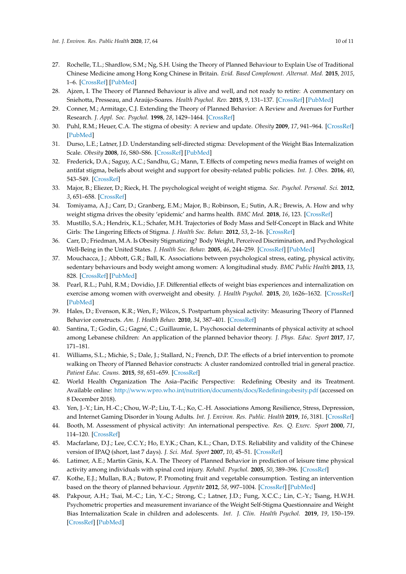- <span id="page-9-0"></span>27. Rochelle, T.L.; Shardlow, S.M.; Ng, S.H. Using the Theory of Planned Behaviour to Explain Use of Traditional Chinese Medicine among Hong Kong Chinese in Britain. *Evid. Based Complement. Alternat. Med.* **2015**, *2015*, 1–6. [\[CrossRef\]](http://dx.doi.org/10.1155/2015/564648) [\[PubMed\]](http://www.ncbi.nlm.nih.gov/pubmed/26504477)
- <span id="page-9-1"></span>28. Ajzen, I. The Theory of Planned Behaviour is alive and well, and not ready to retire: A commentary on Sniehotta, Presseau, and Araújo-Soares. *Health Psychol. Rev.* **2015**, *9*, 131–137. [\[CrossRef\]](http://dx.doi.org/10.1080/17437199.2014.883474) [\[PubMed\]](http://www.ncbi.nlm.nih.gov/pubmed/26209198)
- <span id="page-9-2"></span>29. Conner, M.; Armitage, C.J. Extending the Theory of Planned Behavior: A Review and Avenues for Further Research. *J. Appl. Soc. Psychol.* **1998**, *28*, 1429–1464. [\[CrossRef\]](http://dx.doi.org/10.1111/j.1559-1816.1998.tb01685.x)
- <span id="page-9-3"></span>30. Puhl, R.M.; Heuer, C.A. The stigma of obesity: A review and update. *Obesity* **2009**, *17*, 941–964. [\[CrossRef\]](http://dx.doi.org/10.1038/oby.2008.636) [\[PubMed\]](http://www.ncbi.nlm.nih.gov/pubmed/19165161)
- <span id="page-9-4"></span>31. Durso, L.E.; Latner, J.D. Understanding self-directed stigma: Development of the Weight Bias Internalization Scale. *Obesity* **2008**, *16*, S80–S86. [\[CrossRef\]](http://dx.doi.org/10.1038/oby.2008.448) [\[PubMed\]](http://www.ncbi.nlm.nih.gov/pubmed/18978768)
- <span id="page-9-5"></span>32. Frederick, D.A.; Saguy, A.C.; Sandhu, G.; Mann, T. Effects of competing news media frames of weight on antifat stigma, beliefs about weight and support for obesity-related public policies. *Int. J. Obes.* **2016**, *40*, 543–549. [\[CrossRef\]](http://dx.doi.org/10.1038/ijo.2015.195)
- <span id="page-9-6"></span>33. Major, B.; Eliezer, D.; Rieck, H. The psychological weight of weight stigma. *Soc. Psychol. Personal. Sci.* **2012**, *3*, 651–658. [\[CrossRef\]](http://dx.doi.org/10.1177/1948550611434400)
- <span id="page-9-7"></span>34. Tomiyama, A.J.; Carr, D.; Granberg, E.M.; Major, B.; Robinson, E.; Sutin, A.R.; Brewis, A. How and why weight stigma drives the obesity 'epidemic' and harms health. *BMC Med.* **2018**, *16*, 123. [\[CrossRef\]](http://dx.doi.org/10.1186/s12916-018-1116-5)
- <span id="page-9-8"></span>35. Mustillo, S.A.; Hendrix, K.L.; Schafer, M.H. Trajectories of Body Mass and Self-Concept in Black and White Girls: The Lingering Effects of Stigma. *J. Health Soc. Behav.* **2012**, *53*, 2–16. [\[CrossRef\]](http://dx.doi.org/10.1177/0022146511419205)
- <span id="page-9-9"></span>36. Carr, D.; Friedman, M.A. Is Obesity Stigmatizing? Body Weight, Perceived Discrimination, and Psychological Well-Being in the United States. *J. Health Soc. Behav.* **2005**, *46*, 244–259. [\[CrossRef\]](http://dx.doi.org/10.1177/002214650504600303) [\[PubMed\]](http://www.ncbi.nlm.nih.gov/pubmed/16259147)
- <span id="page-9-10"></span>37. Mouchacca, J.; Abbott, G.R.; Ball, K. Associations between psychological stress, eating, physical activity, sedentary behaviours and body weight among women: A longitudinal study. *BMC Public Health* **2013**, *13*, 828. [\[CrossRef\]](http://dx.doi.org/10.1186/1471-2458-13-828) [\[PubMed\]](http://www.ncbi.nlm.nih.gov/pubmed/24020677)
- <span id="page-9-11"></span>38. Pearl, R.L.; Puhl, R.M.; Dovidio, J.F. Differential effects of weight bias experiences and internalization on exercise among women with overweight and obesity. *J. Health Psychol.* **2015**, *20*, 1626–1632. [\[CrossRef\]](http://dx.doi.org/10.1177/1359105313520338) [\[PubMed\]](http://www.ncbi.nlm.nih.gov/pubmed/24505060)
- <span id="page-9-12"></span>39. Hales, D.; Evenson, K.R.; Wen, F.; Wilcox, S. Postpartum physical activity: Measuring Theory of Planned Behavior constructs. *Am. J. Health Behav.* **2010**, *34*, 387–401. [\[CrossRef\]](http://dx.doi.org/10.5993/AJHB.34.4.1)
- 40. Santina, T.; Godin, G.; Gagné, C.; Guillaumie, L. Psychosocial determinants of physical activity at school among Lebanese children: An application of the planned behavior theory. *J. Phys. Educ. Sport* **2017**, *17*, 171–181.
- <span id="page-9-13"></span>41. Williams, S.L.; Michie, S.; Dale, J.; Stallard, N.; French, D.P. The effects of a brief intervention to promote walking on Theory of Planned Behavior constructs: A cluster randomized controlled trial in general practice. *Patient Educ. Couns.* **2015**, *98*, 651–659. [\[CrossRef\]](http://dx.doi.org/10.1016/j.pec.2015.01.010)
- <span id="page-9-14"></span>42. World Health Organization The Asia–Pacific Perspective: Redefining Obesity and its Treatment. Available online: http://www.wpro.who.int/nutrition/documents/docs/[Redefiningobesity.pdf](http://www.wpro.who.int/nutrition/documents/docs/Redefiningobesity.pdf) (accessed on 8 December 2018).
- <span id="page-9-15"></span>43. Yen, J.-Y.; Lin, H.-C.; Chou, W.-P.; Liu, T.-L.; Ko, C.-H. Associations Among Resilience, Stress, Depression, and Internet Gaming Disorder in Young Adults. *Int. J. Environ. Res. Public. Health* **2019**, *16*, 3181. [\[CrossRef\]](http://dx.doi.org/10.3390/ijerph16173181)
- <span id="page-9-16"></span>44. Booth, M. Assessment of physical activity: An international perspective. *Res. Q. Exerc. Sport* **2000**, *71*, 114–120. [\[CrossRef\]](http://dx.doi.org/10.1080/02701367.2000.11082794)
- <span id="page-9-17"></span>45. Macfarlane, D.J.; Lee, C.C.Y.; Ho, E.Y.K.; Chan, K.L.; Chan, D.T.S. Reliability and validity of the Chinese version of IPAQ (short, last 7 days). *J. Sci. Med. Sport* **2007**, *10*, 45–51. [\[CrossRef\]](http://dx.doi.org/10.1016/j.jsams.2006.05.003)
- <span id="page-9-18"></span>46. Latimer, A.E.; Martin Ginis, K.A. The Theory of Planned Behavior in prediction of leisure time physical activity among individuals with spinal cord injury. *Rehabil. Psychol.* **2005**, *50*, 389–396. [\[CrossRef\]](http://dx.doi.org/10.1037/0090-5550.50.4.389)
- <span id="page-9-19"></span>47. Kothe, E.J.; Mullan, B.A.; Butow, P. Promoting fruit and vegetable consumption. Testing an intervention based on the theory of planned behaviour. *Appetite* **2012**, *58*, 997–1004. [\[CrossRef\]](http://dx.doi.org/10.1016/j.appet.2012.02.012) [\[PubMed\]](http://www.ncbi.nlm.nih.gov/pubmed/22349778)
- <span id="page-9-20"></span>48. Pakpour, A.H.; Tsai, M.-C.; Lin, Y.-C.; Strong, C.; Latner, J.D.; Fung, X.C.C.; Lin, C.-Y.; Tsang, H.W.H. Psychometric properties and measurement invariance of the Weight Self-Stigma Questionnaire and Weight Bias Internalization Scale in children and adolescents. *Int. J. Clin. Health Psychol.* **2019**, *19*, 150–159. [\[CrossRef\]](http://dx.doi.org/10.1016/j.ijchp.2019.03.001) [\[PubMed\]](http://www.ncbi.nlm.nih.gov/pubmed/31193103)